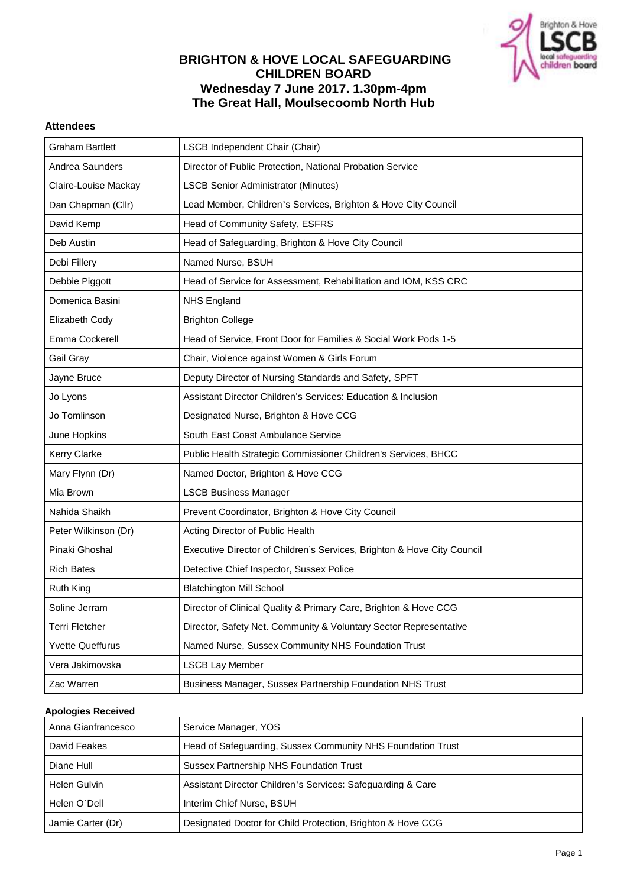

## **BRIGHTON & HOVE LOCAL SAFEGUARDING CHILDREN BOARD Wednesday 7 June 2017. 1.30pm-4pm The Great Hall, Moulsecoomb North Hub**

## **Attendees**

| <b>Graham Bartlett</b>  | LSCB Independent Chair (Chair)                                          |
|-------------------------|-------------------------------------------------------------------------|
| Andrea Saunders         | Director of Public Protection, National Probation Service               |
| Claire-Louise Mackay    | <b>LSCB Senior Administrator (Minutes)</b>                              |
| Dan Chapman (Cllr)      | Lead Member, Children's Services, Brighton & Hove City Council          |
| David Kemp              | Head of Community Safety, ESFRS                                         |
| Deb Austin              | Head of Safeguarding, Brighton & Hove City Council                      |
| Debi Fillery            | Named Nurse, BSUH                                                       |
| Debbie Piggott          | Head of Service for Assessment, Rehabilitation and IOM, KSS CRC         |
| Domenica Basini         | <b>NHS England</b>                                                      |
| Elizabeth Cody          | <b>Brighton College</b>                                                 |
| Emma Cockerell          | Head of Service, Front Door for Families & Social Work Pods 1-5         |
| Gail Gray               | Chair, Violence against Women & Girls Forum                             |
| Jayne Bruce             | Deputy Director of Nursing Standards and Safety, SPFT                   |
| Jo Lyons                | Assistant Director Children's Services: Education & Inclusion           |
| Jo Tomlinson            | Designated Nurse, Brighton & Hove CCG                                   |
| June Hopkins            | South East Coast Ambulance Service                                      |
| Kerry Clarke            | Public Health Strategic Commissioner Children's Services, BHCC          |
| Mary Flynn (Dr)         | Named Doctor, Brighton & Hove CCG                                       |
| Mia Brown               | <b>LSCB Business Manager</b>                                            |
| Nahida Shaikh           | Prevent Coordinator, Brighton & Hove City Council                       |
| Peter Wilkinson (Dr)    | Acting Director of Public Health                                        |
| Pinaki Ghoshal          | Executive Director of Children's Services, Brighton & Hove City Council |
| <b>Rich Bates</b>       | Detective Chief Inspector, Sussex Police                                |
| <b>Ruth King</b>        | <b>Blatchington Mill School</b>                                         |
| Soline Jerram           | Director of Clinical Quality & Primary Care, Brighton & Hove CCG        |
| Terri Fletcher          | Director, Safety Net. Community & Voluntary Sector Representative       |
| <b>Yvette Queffurus</b> | Named Nurse, Sussex Community NHS Foundation Trust                      |
| Vera Jakimovska         | <b>LSCB Lay Member</b>                                                  |
| Zac Warren              | Business Manager, Sussex Partnership Foundation NHS Trust               |

#### **Apologies Received**

| Anna Gianfrancesco | Service Manager, YOS                                        |
|--------------------|-------------------------------------------------------------|
| David Feakes       | Head of Safeguarding, Sussex Community NHS Foundation Trust |
| Diane Hull         | Sussex Partnership NHS Foundation Trust                     |
| Helen Gulvin       | Assistant Director Children's Services: Safeguarding & Care |
| Helen O'Dell       | Interim Chief Nurse, BSUH                                   |
| Jamie Carter (Dr)  | Designated Doctor for Child Protection, Brighton & Hove CCG |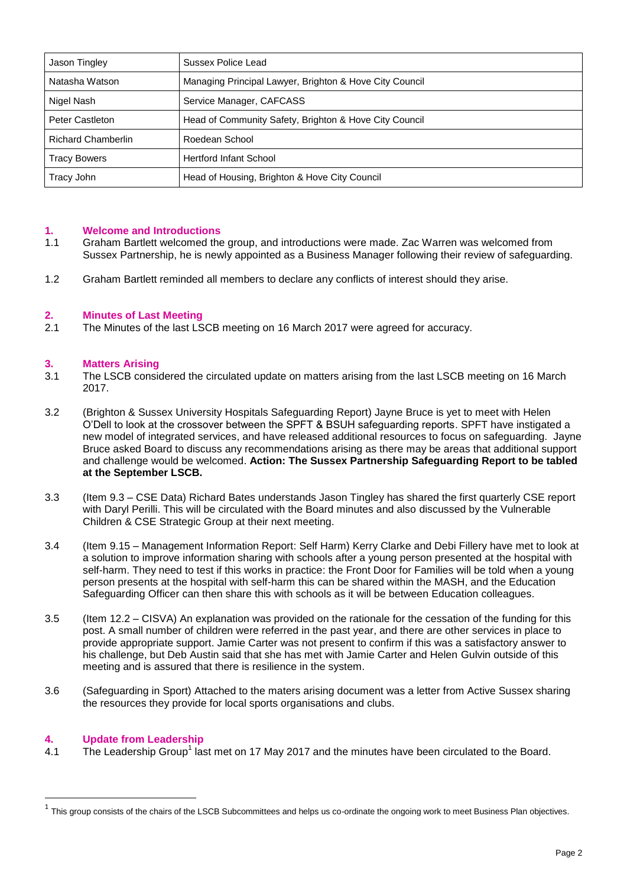| Jason Tingley             | Sussex Police Lead                                      |
|---------------------------|---------------------------------------------------------|
| Natasha Watson            | Managing Principal Lawyer, Brighton & Hove City Council |
| Nigel Nash                | Service Manager, CAFCASS                                |
| Peter Castleton           | Head of Community Safety, Brighton & Hove City Council  |
| <b>Richard Chamberlin</b> | Roedean School                                          |
| <b>Tracy Bowers</b>       | <b>Hertford Infant School</b>                           |
| Tracy John                | Head of Housing, Brighton & Hove City Council           |

## **1. Welcome and Introductions**

- 1.1 Graham Bartlett welcomed the group, and introductions were made. Zac Warren was welcomed from Sussex Partnership, he is newly appointed as a Business Manager following their review of safeguarding.
- 1.2 Graham Bartlett reminded all members to declare any conflicts of interest should they arise.

#### **2. Minutes of Last Meeting**

2.1 The Minutes of the last LSCB meeting on 16 March 2017 were agreed for accuracy.

#### **3. Matters Arising**

- 3.1 The LSCB considered the circulated update on matters arising from the last LSCB meeting on 16 March 2017.
- 3.2 (Brighton & Sussex University Hospitals Safeguarding Report) Jayne Bruce is yet to meet with Helen O'Dell to look at the crossover between the SPFT & BSUH safeguarding reports. SPFT have instigated a new model of integrated services, and have released additional resources to focus on safeguarding. Jayne Bruce asked Board to discuss any recommendations arising as there may be areas that additional support and challenge would be welcomed. **Action: The Sussex Partnership Safeguarding Report to be tabled at the September LSCB.**
- 3.3 (Item 9.3 CSE Data) Richard Bates understands Jason Tingley has shared the first quarterly CSE report with Daryl Perilli. This will be circulated with the Board minutes and also discussed by the Vulnerable Children & CSE Strategic Group at their next meeting.
- 3.4 (Item 9.15 Management Information Report: Self Harm) Kerry Clarke and Debi Fillery have met to look at a solution to improve information sharing with schools after a young person presented at the hospital with self-harm. They need to test if this works in practice: the Front Door for Families will be told when a young person presents at the hospital with self-harm this can be shared within the MASH, and the Education Safeguarding Officer can then share this with schools as it will be between Education colleagues.
- 3.5 (Item 12.2 CISVA) An explanation was provided on the rationale for the cessation of the funding for this post. A small number of children were referred in the past year, and there are other services in place to provide appropriate support. Jamie Carter was not present to confirm if this was a satisfactory answer to his challenge, but Deb Austin said that she has met with Jamie Carter and Helen Gulvin outside of this meeting and is assured that there is resilience in the system.
- 3.6 (Safeguarding in Sport) Attached to the maters arising document was a letter from Active Sussex sharing the resources they provide for local sports organisations and clubs.

## **4. Update from Leadership**

 $\overline{a}$ 

4.1 The Leadership Group<sup>1</sup> last met on 17 May 2017 and the minutes have been circulated to the Board.

 $^1$  This group consists of the chairs of the LSCB Subcommittees and helps us co-ordinate the ongoing work to meet Business Plan objectives.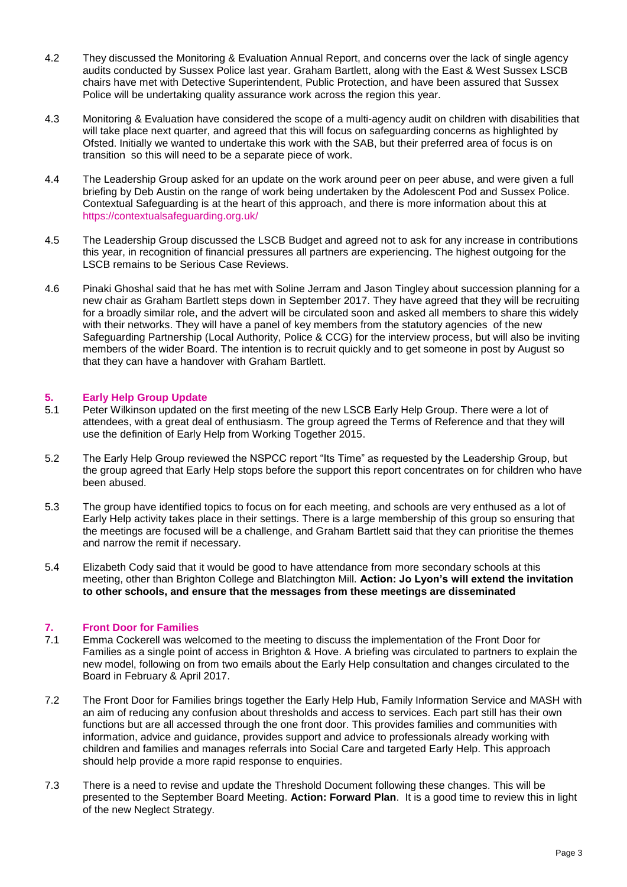- 4.2 They discussed the Monitoring & Evaluation Annual Report, and concerns over the lack of single agency audits conducted by Sussex Police last year. Graham Bartlett, along with the East & West Sussex LSCB chairs have met with Detective Superintendent, Public Protection, and have been assured that Sussex Police will be undertaking quality assurance work across the region this year.
- 4.3 Monitoring & Evaluation have considered the scope of a multi-agency audit on children with disabilities that will take place next quarter, and agreed that this will focus on safeguarding concerns as highlighted by Ofsted. Initially we wanted to undertake this work with the SAB, but their preferred area of focus is on transition so this will need to be a separate piece of work.
- 4.4 The Leadership Group asked for an update on the work around peer on peer abuse, and were given a full briefing by Deb Austin on the range of work being undertaken by the Adolescent Pod and Sussex Police. Contextual Safeguarding is at the heart of this approach, and there is more information about this at <https://contextualsafeguarding.org.uk/>
- 4.5 The Leadership Group discussed the LSCB Budget and agreed not to ask for any increase in contributions this year, in recognition of financial pressures all partners are experiencing. The highest outgoing for the LSCB remains to be Serious Case Reviews.
- 4.6 Pinaki Ghoshal said that he has met with Soline Jerram and Jason Tingley about succession planning for a new chair as Graham Bartlett steps down in September 2017. They have agreed that they will be recruiting for a broadly similar role, and the advert will be circulated soon and asked all members to share this widely with their networks. They will have a panel of key members from the statutory agencies of the new Safeguarding Partnership (Local Authority, Police & CCG) for the interview process, but will also be inviting members of the wider Board. The intention is to recruit quickly and to get someone in post by August so that they can have a handover with Graham Bartlett.

# **5. Early Help Group Update**

- Peter Wilkinson updated on the first meeting of the new LSCB Early Help Group. There were a lot of attendees, with a great deal of enthusiasm. The group agreed the Terms of Reference and that they will use the definition of Early Help from Working Together 2015.
- 5.2 The Early Help Group reviewed the NSPCC report "Its Time" as requested by the Leadership Group, but the group agreed that Early Help stops before the support this report concentrates on for children who have been abused.
- 5.3 The group have identified topics to focus on for each meeting, and schools are very enthused as a lot of Early Help activity takes place in their settings. There is a large membership of this group so ensuring that the meetings are focused will be a challenge, and Graham Bartlett said that they can prioritise the themes and narrow the remit if necessary.
- 5.4 Elizabeth Cody said that it would be good to have attendance from more secondary schools at this meeting, other than Brighton College and Blatchington Mill. **Action: Jo Lyon's will extend the invitation to other schools, and ensure that the messages from these meetings are disseminated**

## **7. Front Door for Families**

- 7.1 Emma Cockerell was welcomed to the meeting to discuss the implementation of the Front Door for Families as a single point of access in Brighton & Hove. A briefing was circulated to partners to explain the new model, following on from two emails about the Early Help consultation and changes circulated to the Board in February & April 2017.
- 7.2 The Front Door for Families brings together the Early Help Hub, Family Information Service and MASH with an aim of reducing any confusion about thresholds and access to services. Each part still has their own functions but are all accessed through the one front door. This provides families and communities with information, advice and guidance, provides support and advice to professionals already working with children and families and manages referrals into Social Care and targeted Early Help. This approach should help provide a more rapid response to enquiries.
- 7.3 There is a need to revise and update the Threshold Document following these changes. This will be presented to the September Board Meeting. **Action: Forward Plan**. It is a good time to review this in light of the new Neglect Strategy.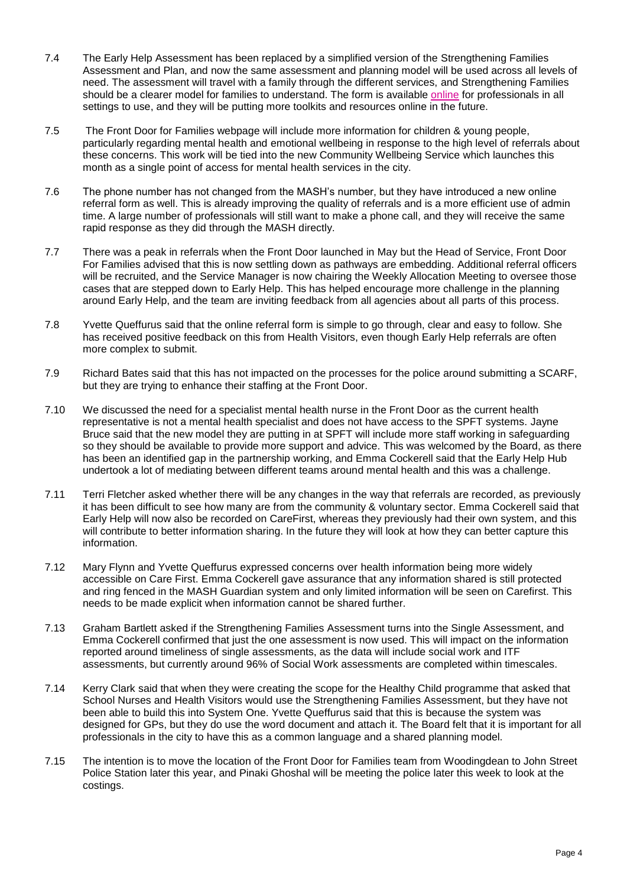- 7.4 The Early Help Assessment has been replaced by a simplified version of the Strengthening Families Assessment and Plan, and now the same assessment and planning model will be used across all levels of need. The assessment will travel with a family through the different services, and Strengthening Families should be a clearer model for families to understand. The form is available [online](http://www.brighton-hove.gov.uk/content/children-and-education/front-door-families/information-professionals-who-work-families) for professionals in all settings to use, and they will be putting more toolkits and resources online in the future.
- 7.5 The Front Door for Families webpage will include more information for children & young people, particularly regarding mental health and emotional wellbeing in response to the high level of referrals about these concerns. This work will be tied into the new Community Wellbeing Service which launches this month as a single point of access for mental health services in the city.
- 7.6 The phone number has not changed from the MASH's number, but they have introduced a new online referral form as well. This is already improving the quality of referrals and is a more efficient use of admin time. A large number of professionals will still want to make a phone call, and they will receive the same rapid response as they did through the MASH directly.
- 7.7 There was a peak in referrals when the Front Door launched in May but the Head of Service, Front Door For Families advised that this is now settling down as pathways are embedding. Additional referral officers will be recruited, and the Service Manager is now chairing the Weekly Allocation Meeting to oversee those cases that are stepped down to Early Help. This has helped encourage more challenge in the planning around Early Help, and the team are inviting feedback from all agencies about all parts of this process.
- 7.8 Yvette Queffurus said that the online referral form is simple to go through, clear and easy to follow. She has received positive feedback on this from Health Visitors, even though Early Help referrals are often more complex to submit.
- 7.9 Richard Bates said that this has not impacted on the processes for the police around submitting a SCARF, but they are trying to enhance their staffing at the Front Door.
- 7.10 We discussed the need for a specialist mental health nurse in the Front Door as the current health representative is not a mental health specialist and does not have access to the SPFT systems. Jayne Bruce said that the new model they are putting in at SPFT will include more staff working in safeguarding so they should be available to provide more support and advice. This was welcomed by the Board, as there has been an identified gap in the partnership working, and Emma Cockerell said that the Early Help Hub undertook a lot of mediating between different teams around mental health and this was a challenge.
- 7.11 Terri Fletcher asked whether there will be any changes in the way that referrals are recorded, as previously it has been difficult to see how many are from the community & voluntary sector. Emma Cockerell said that Early Help will now also be recorded on CareFirst, whereas they previously had their own system, and this will contribute to better information sharing. In the future they will look at how they can better capture this information.
- 7.12 Mary Flynn and Yvette Queffurus expressed concerns over health information being more widely accessible on Care First. Emma Cockerell gave assurance that any information shared is still protected and ring fenced in the MASH Guardian system and only limited information will be seen on Carefirst. This needs to be made explicit when information cannot be shared further.
- 7.13 Graham Bartlett asked if the Strengthening Families Assessment turns into the Single Assessment, and Emma Cockerell confirmed that just the one assessment is now used. This will impact on the information reported around timeliness of single assessments, as the data will include social work and ITF assessments, but currently around 96% of Social Work assessments are completed within timescales.
- 7.14 Kerry Clark said that when they were creating the scope for the Healthy Child programme that asked that School Nurses and Health Visitors would use the Strengthening Families Assessment, but they have not been able to build this into System One. Yvette Queffurus said that this is because the system was designed for GPs, but they do use the word document and attach it. The Board felt that it is important for all professionals in the city to have this as a common language and a shared planning model.
- 7.15 The intention is to move the location of the Front Door for Families team from Woodingdean to John Street Police Station later this year, and Pinaki Ghoshal will be meeting the police later this week to look at the costings.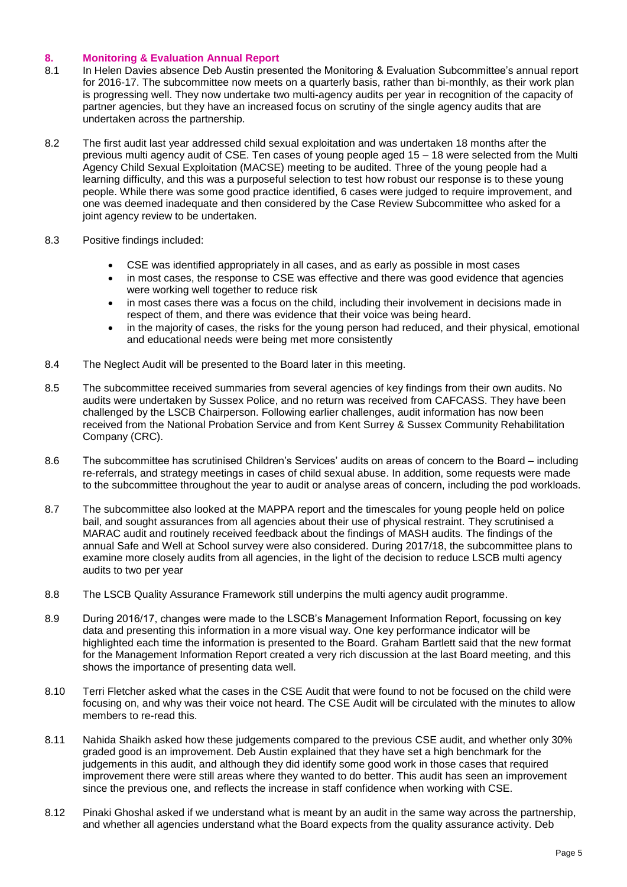## **8. Monitoring & Evaluation Annual Report**

- 8.1 In Helen Davies absence Deb Austin presented the Monitoring & Evaluation Subcommittee's annual report for 2016-17. The subcommittee now meets on a quarterly basis, rather than bi-monthly, as their work plan is progressing well. They now undertake two multi-agency audits per year in recognition of the capacity of partner agencies, but they have an increased focus on scrutiny of the single agency audits that are undertaken across the partnership.
- 8.2 The first audit last year addressed child sexual exploitation and was undertaken 18 months after the previous multi agency audit of CSE. Ten cases of young people aged 15 – 18 were selected from the Multi Agency Child Sexual Exploitation (MACSE) meeting to be audited. Three of the young people had a learning difficulty, and this was a purposeful selection to test how robust our response is to these young people. While there was some good practice identified, 6 cases were judged to require improvement, and one was deemed inadequate and then considered by the Case Review Subcommittee who asked for a joint agency review to be undertaken.
- 8.3 Positive findings included:
	- CSE was identified appropriately in all cases, and as early as possible in most cases
	- in most cases, the response to CSE was effective and there was good evidence that agencies were working well together to reduce risk
	- in most cases there was a focus on the child, including their involvement in decisions made in respect of them, and there was evidence that their voice was being heard.
	- in the majority of cases, the risks for the young person had reduced, and their physical, emotional and educational needs were being met more consistently
- 8.4 The Neglect Audit will be presented to the Board later in this meeting.
- 8.5 The subcommittee received summaries from several agencies of key findings from their own audits. No audits were undertaken by Sussex Police, and no return was received from CAFCASS. They have been challenged by the LSCB Chairperson. Following earlier challenges, audit information has now been received from the National Probation Service and from Kent Surrey & Sussex Community Rehabilitation Company (CRC).
- 8.6 The subcommittee has scrutinised Children's Services' audits on areas of concern to the Board including re-referrals, and strategy meetings in cases of child sexual abuse. In addition, some requests were made to the subcommittee throughout the year to audit or analyse areas of concern, including the pod workloads.
- 8.7 The subcommittee also looked at the MAPPA report and the timescales for young people held on police bail, and sought assurances from all agencies about their use of physical restraint. They scrutinised a MARAC audit and routinely received feedback about the findings of MASH audits. The findings of the annual Safe and Well at School survey were also considered. During 2017/18, the subcommittee plans to examine more closely audits from all agencies, in the light of the decision to reduce LSCB multi agency audits to two per year
- 8.8 The LSCB Quality Assurance Framework still underpins the multi agency audit programme.
- 8.9 During 2016/17, changes were made to the LSCB's Management Information Report, focussing on key data and presenting this information in a more visual way. One key performance indicator will be highlighted each time the information is presented to the Board. Graham Bartlett said that the new format for the Management Information Report created a very rich discussion at the last Board meeting, and this shows the importance of presenting data well.
- 8.10 Terri Fletcher asked what the cases in the CSE Audit that were found to not be focused on the child were focusing on, and why was their voice not heard. The CSE Audit will be circulated with the minutes to allow members to re-read this.
- 8.11 Nahida Shaikh asked how these judgements compared to the previous CSE audit, and whether only 30% graded good is an improvement. Deb Austin explained that they have set a high benchmark for the judgements in this audit, and although they did identify some good work in those cases that required improvement there were still areas where they wanted to do better. This audit has seen an improvement since the previous one, and reflects the increase in staff confidence when working with CSE.
- 8.12 Pinaki Ghoshal asked if we understand what is meant by an audit in the same way across the partnership, and whether all agencies understand what the Board expects from the quality assurance activity. Deb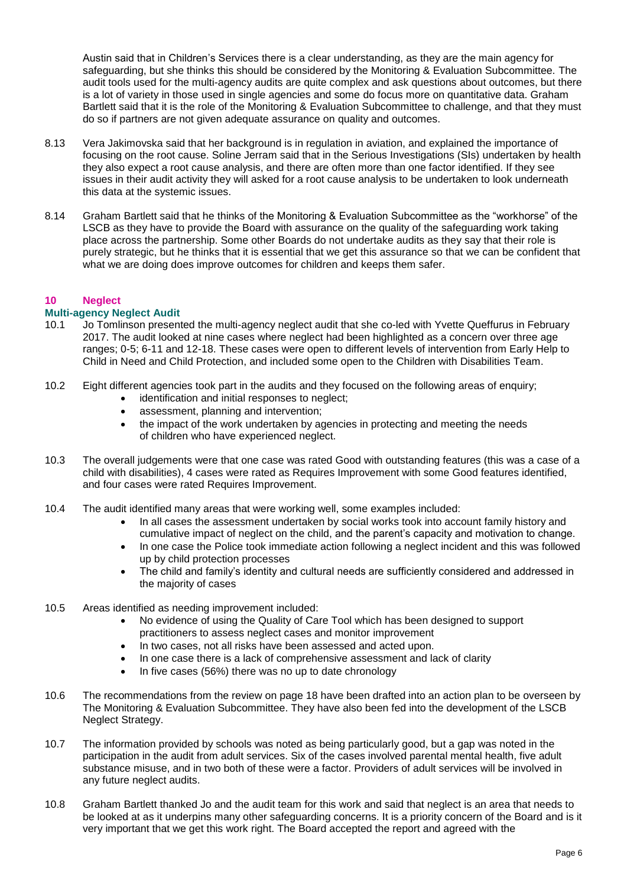Austin said that in Children's Services there is a clear understanding, as they are the main agency for safeguarding, but she thinks this should be considered by the Monitoring & Evaluation Subcommittee. The audit tools used for the multi-agency audits are quite complex and ask questions about outcomes, but there is a lot of variety in those used in single agencies and some do focus more on quantitative data. Graham Bartlett said that it is the role of the Monitoring & Evaluation Subcommittee to challenge, and that they must do so if partners are not given adequate assurance on quality and outcomes.

- 8.13 Vera Jakimovska said that her background is in regulation in aviation, and explained the importance of focusing on the root cause. Soline Jerram said that in the Serious Investigations (SIs) undertaken by health they also expect a root cause analysis, and there are often more than one factor identified. If they see issues in their audit activity they will asked for a root cause analysis to be undertaken to look underneath this data at the systemic issues.
- 8.14 Graham Bartlett said that he thinks of the Monitoring & Evaluation Subcommittee as the "workhorse" of the LSCB as they have to provide the Board with assurance on the quality of the safeguarding work taking place across the partnership. Some other Boards do not undertake audits as they say that their role is purely strategic, but he thinks that it is essential that we get this assurance so that we can be confident that what we are doing does improve outcomes for children and keeps them safer.

## **10 Neglect**

## **Multi-agency Neglect Audit**

- 10.1 Jo Tomlinson presented the multi-agency neglect audit that she co-led with Yvette Queffurus in February 2017. The audit looked at nine cases where neglect had been highlighted as a concern over three age ranges; 0-5; 6-11 and 12-18. These cases were open to different levels of intervention from Early Help to Child in Need and Child Protection, and included some open to the Children with Disabilities Team.
- 10.2 Eight different agencies took part in the audits and they focused on the following areas of enquiry;
	- identification and initial responses to neglect;
	- assessment, planning and intervention;
	- the impact of the work undertaken by agencies in protecting and meeting the needs of children who have experienced neglect.
- 10.3 The overall judgements were that one case was rated Good with outstanding features (this was a case of a child with disabilities), 4 cases were rated as Requires Improvement with some Good features identified, and four cases were rated Requires Improvement.
- 10.4 The audit identified many areas that were working well, some examples included:
	- In all cases the assessment undertaken by social works took into account family history and cumulative impact of neglect on the child, and the parent's capacity and motivation to change.
	- In one case the Police took immediate action following a neglect incident and this was followed up by child protection processes
	- The child and family's identity and cultural needs are sufficiently considered and addressed in the majority of cases
- 10.5 Areas identified as needing improvement included:
	- No evidence of using the Quality of Care Tool which has been designed to support practitioners to assess neglect cases and monitor improvement
	- In two cases, not all risks have been assessed and acted upon.
	- In one case there is a lack of comprehensive assessment and lack of clarity
	- In five cases (56%) there was no up to date chronology
- 10.6 The recommendations from the review on page 18 have been drafted into an action plan to be overseen by The Monitoring & Evaluation Subcommittee. They have also been fed into the development of the LSCB Neglect Strategy.
- 10.7 The information provided by schools was noted as being particularly good, but a gap was noted in the participation in the audit from adult services. Six of the cases involved parental mental health, five adult substance misuse, and in two both of these were a factor. Providers of adult services will be involved in any future neglect audits.
- 10.8 Graham Bartlett thanked Jo and the audit team for this work and said that neglect is an area that needs to be looked at as it underpins many other safeguarding concerns. It is a priority concern of the Board and is it very important that we get this work right. The Board accepted the report and agreed with the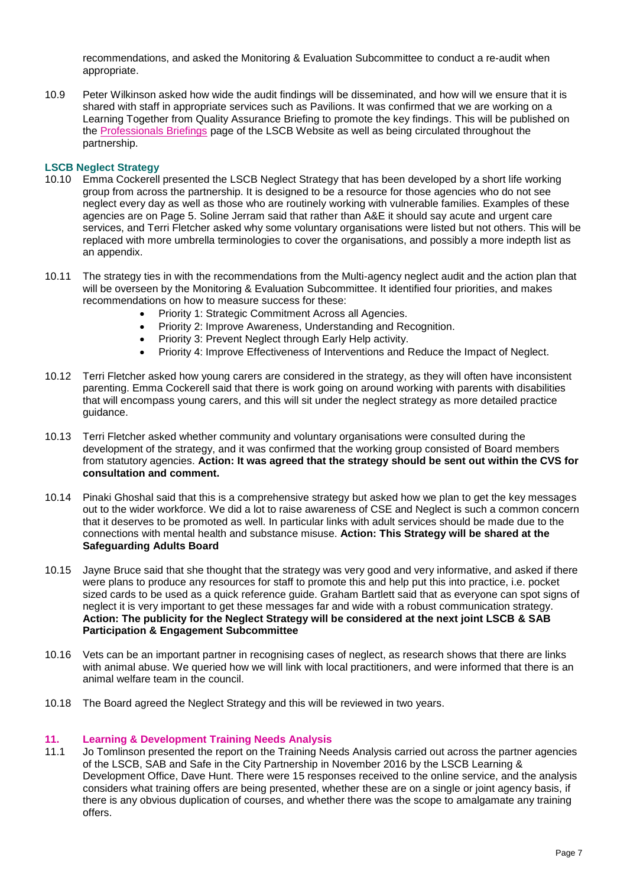recommendations, and asked the Monitoring & Evaluation Subcommittee to conduct a re-audit when appropriate.

10.9 Peter Wilkinson asked how wide the audit findings will be disseminated, and how will we ensure that it is shared with staff in appropriate services such as Pavilions. It was confirmed that we are working on a Learning Together from Quality Assurance Briefing to promote the key findings. This will be published on the [Professionals Briefings](http://brightonandhovelscb.org.uk/h_useful_links/manager-briefings/) page of the LSCB Website as well as being circulated throughout the partnership.

## **LSCB Neglect Strategy**

- 10.10 Emma Cockerell presented the LSCB Neglect Strategy that has been developed by a short life working group from across the partnership. It is designed to be a resource for those agencies who do not see neglect every day as well as those who are routinely working with vulnerable families. Examples of these agencies are on Page 5. Soline Jerram said that rather than A&E it should say acute and urgent care services, and Terri Fletcher asked why some voluntary organisations were listed but not others. This will be replaced with more umbrella terminologies to cover the organisations, and possibly a more indepth list as an appendix.
- 10.11 The strategy ties in with the recommendations from the Multi-agency neglect audit and the action plan that will be overseen by the Monitoring & Evaluation Subcommittee. It identified four priorities, and makes recommendations on how to measure success for these:
	- Priority 1: Strategic Commitment Across all Agencies.
	- Priority 2: Improve Awareness, Understanding and Recognition.
	- Priority 3: Prevent Neglect through Early Help activity.
	- Priority 4: Improve Effectiveness of Interventions and Reduce the Impact of Neglect.
- 10.12 Terri Fletcher asked how young carers are considered in the strategy, as they will often have inconsistent parenting. Emma Cockerell said that there is work going on around working with parents with disabilities that will encompass young carers, and this will sit under the neglect strategy as more detailed practice guidance.
- 10.13 Terri Fletcher asked whether community and voluntary organisations were consulted during the development of the strategy, and it was confirmed that the working group consisted of Board members from statutory agencies. **Action: It was agreed that the strategy should be sent out within the CVS for consultation and comment.**
- 10.14 Pinaki Ghoshal said that this is a comprehensive strategy but asked how we plan to get the key messages out to the wider workforce. We did a lot to raise awareness of CSE and Neglect is such a common concern that it deserves to be promoted as well. In particular links with adult services should be made due to the connections with mental health and substance misuse. **Action: This Strategy will be shared at the Safeguarding Adults Board**
- 10.15 Jayne Bruce said that she thought that the strategy was very good and very informative, and asked if there were plans to produce any resources for staff to promote this and help put this into practice, i.e. pocket sized cards to be used as a quick reference guide. Graham Bartlett said that as everyone can spot signs of neglect it is very important to get these messages far and wide with a robust communication strategy. **Action: The publicity for the Neglect Strategy will be considered at the next joint LSCB & SAB Participation & Engagement Subcommittee**
- 10.16 Vets can be an important partner in recognising cases of neglect, as research shows that there are links with animal abuse. We queried how we will link with local practitioners, and were informed that there is an animal welfare team in the council.
- 10.18 The Board agreed the Neglect Strategy and this will be reviewed in two years.

#### **11. Learning & Development Training Needs Analysis**

11.1 Jo Tomlinson presented the report on the Training Needs Analysis carried out across the partner agencies of the LSCB, SAB and Safe in the City Partnership in November 2016 by the LSCB Learning & Development Office, Dave Hunt. There were 15 responses received to the online service, and the analysis considers what training offers are being presented, whether these are on a single or joint agency basis, if there is any obvious duplication of courses, and whether there was the scope to amalgamate any training offers.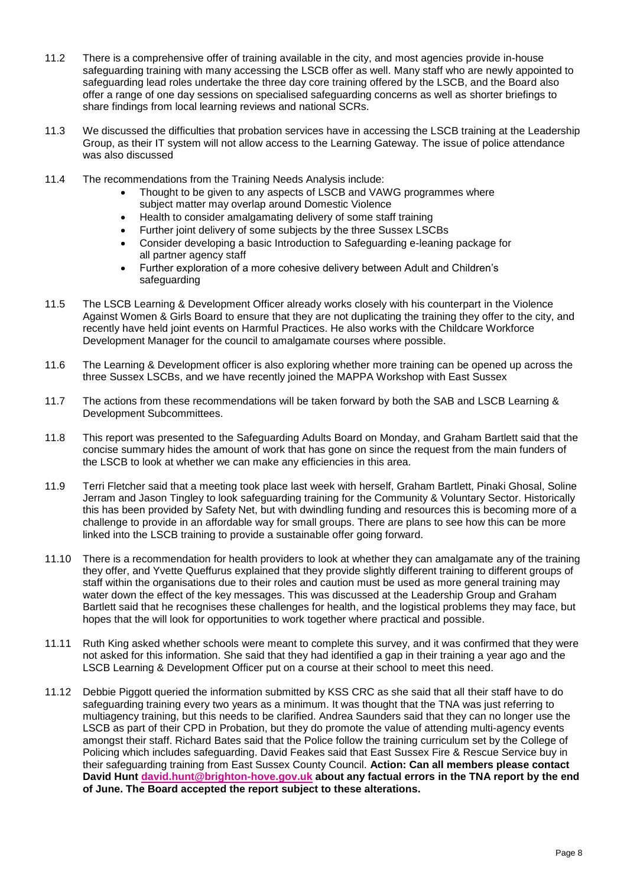- 11.2 There is a comprehensive offer of training available in the city, and most agencies provide in-house safeguarding training with many accessing the LSCB offer as well. Many staff who are newly appointed to safeguarding lead roles undertake the three day core training offered by the LSCB, and the Board also offer a range of one day sessions on specialised safeguarding concerns as well as shorter briefings to share findings from local learning reviews and national SCRs.
- 11.3 We discussed the difficulties that probation services have in accessing the LSCB training at the Leadership Group, as their IT system will not allow access to the Learning Gateway. The issue of police attendance was also discussed
- 11.4 The recommendations from the Training Needs Analysis include:
	- Thought to be given to any aspects of LSCB and VAWG programmes where subject matter may overlap around Domestic Violence
	- Health to consider amalgamating delivery of some staff training
	- Further joint delivery of some subjects by the three Sussex LSCBs
	- Consider developing a basic Introduction to Safeguarding e-leaning package for all partner agency staff
	- Further exploration of a more cohesive delivery between Adult and Children's safeguarding
- 11.5 The LSCB Learning & Development Officer already works closely with his counterpart in the Violence Against Women & Girls Board to ensure that they are not duplicating the training they offer to the city, and recently have held joint events on Harmful Practices. He also works with the Childcare Workforce Development Manager for the council to amalgamate courses where possible.
- 11.6 The Learning & Development officer is also exploring whether more training can be opened up across the three Sussex LSCBs, and we have recently joined the MAPPA Workshop with East Sussex
- 11.7 The actions from these recommendations will be taken forward by both the SAB and LSCB Learning & Development Subcommittees.
- 11.8 This report was presented to the Safeguarding Adults Board on Monday, and Graham Bartlett said that the concise summary hides the amount of work that has gone on since the request from the main funders of the LSCB to look at whether we can make any efficiencies in this area.
- 11.9 Terri Fletcher said that a meeting took place last week with herself, Graham Bartlett, Pinaki Ghosal, Soline Jerram and Jason Tingley to look safeguarding training for the Community & Voluntary Sector. Historically this has been provided by Safety Net, but with dwindling funding and resources this is becoming more of a challenge to provide in an affordable way for small groups. There are plans to see how this can be more linked into the LSCB training to provide a sustainable offer going forward.
- 11.10 There is a recommendation for health providers to look at whether they can amalgamate any of the training they offer, and Yvette Queffurus explained that they provide slightly different training to different groups of staff within the organisations due to their roles and caution must be used as more general training may water down the effect of the key messages. This was discussed at the Leadership Group and Graham Bartlett said that he recognises these challenges for health, and the logistical problems they may face, but hopes that the will look for opportunities to work together where practical and possible.
- 11.11 Ruth King asked whether schools were meant to complete this survey, and it was confirmed that they were not asked for this information. She said that they had identified a gap in their training a year ago and the LSCB Learning & Development Officer put on a course at their school to meet this need.
- 11.12 Debbie Piggott queried the information submitted by KSS CRC as she said that all their staff have to do safeguarding training every two years as a minimum. It was thought that the TNA was just referring to multiagency training, but this needs to be clarified. Andrea Saunders said that they can no longer use the LSCB as part of their CPD in Probation, but they do promote the value of attending multi-agency events amongst their staff. Richard Bates said that the Police follow the training curriculum set by the College of Policing which includes safeguarding. David Feakes said that East Sussex Fire & Rescue Service buy in their safeguarding training from East Sussex County Council. **Action: Can all members please contact David Hunt [david.hunt@brighton-hove.gov.uk](mailto:david.hunt@brighton-hove.gov.uk) about any factual errors in the TNA report by the end of June. The Board accepted the report subject to these alterations.**